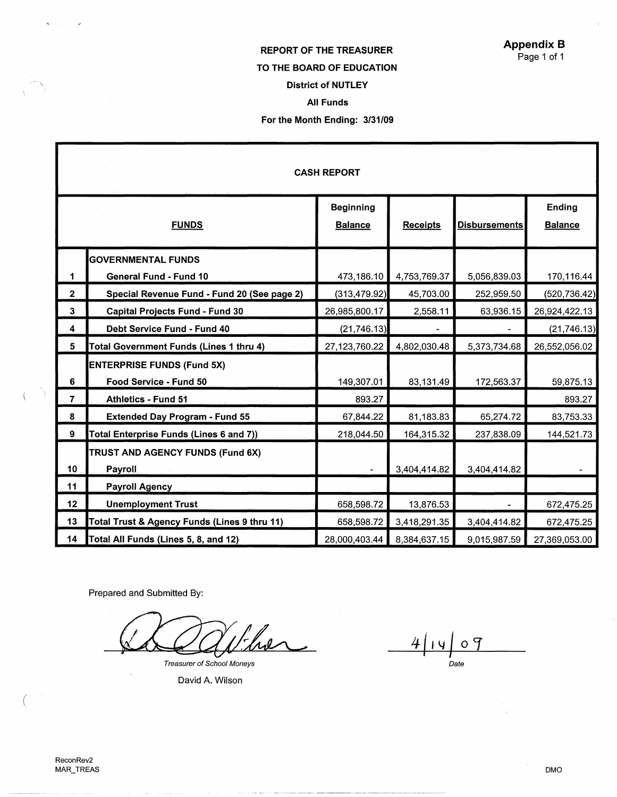## REPORT OF THE TREASURER TO THE **BOARD** OF EDUCATION District of NUTLEY All Funds

## For the Month Ending: 3/31/09

| <b>CASH REPORT</b>      |                                                |                  |                 |                      |                |  |  |  |  |
|-------------------------|------------------------------------------------|------------------|-----------------|----------------------|----------------|--|--|--|--|
|                         |                                                | <b>Beginning</b> |                 |                      | <b>Ending</b>  |  |  |  |  |
|                         | <b>FUNDS</b>                                   | <b>Balance</b>   | <b>Receipts</b> | <b>Disbursements</b> | <b>Balance</b> |  |  |  |  |
|                         | <b>GOVERNMENTAL FUNDS</b>                      |                  |                 |                      |                |  |  |  |  |
| $\mathbf 1$             | <b>General Fund - Fund 10</b>                  | 473,186.10       | 4,753,769.37    | 5,056,839.03         | 170,116.44     |  |  |  |  |
| $\overline{2}$          | Special Revenue Fund - Fund 20 (See page 2)    | (313, 479.92)    | 45,703.00       | 252,959.50           | (520, 736.42)  |  |  |  |  |
| 3 <sup>°</sup>          | <b>Capital Projects Fund - Fund 30</b>         | 26,985,800.17    | 2,558.11        | 63,936.15            | 26,924,422.13  |  |  |  |  |
| $\overline{\mathbf{4}}$ | Debt Service Fund - Fund 40                    | (21, 746.13)     |                 |                      | (21, 746.13)   |  |  |  |  |
| 5                       | Total Government Funds (Lines 1 thru 4)        | 27,123,760.22    | 4,802,030.48    | 5,373,734.68         | 26,552,056.02  |  |  |  |  |
|                         | <b>ENTERPRISE FUNDS (Fund 5X)</b>              |                  |                 |                      |                |  |  |  |  |
| 6                       | Food Service - Fund 50                         | 149,307.01       | 83,131.49       | 172,563.37           | 59,875.13      |  |  |  |  |
| $\overline{7}$ .        | <b>Athletics - Fund 51</b>                     | 893.27           |                 |                      | 893.27         |  |  |  |  |
| 8                       | <b>Extended Day Program - Fund 55</b>          | 67,844.22        | 81,183.83       | 65,274.72            | 83,753.33      |  |  |  |  |
| 9                       | <b>Total Enterprise Funds (Lines 6 and 7))</b> | 218,044.50       | 164,315.32      | 237,838.09           | 144,521.73     |  |  |  |  |
|                         | TRUST AND AGENCY FUNDS (Fund 6X)               |                  |                 |                      |                |  |  |  |  |
| 10 <sub>1</sub>         | Payroll                                        |                  | 3,404,414.82    | 3,404,414.82         |                |  |  |  |  |
| 11                      | <b>Payroll Agency</b>                          |                  |                 |                      |                |  |  |  |  |
| 12 <sub>2</sub>         | <b>Unemployment Trust</b>                      | 658,598.72       | 13,876.53       |                      | 672,475.25     |  |  |  |  |
| 13                      | Total Trust & Agency Funds (Lines 9 thru 11)   | 658,598.72       | 3,418,291.35    | 3,404,414.82         | 672,475.25     |  |  |  |  |
| 14                      | Total All Funds (Lines 5, 8, and 12)           | 28,000,403.44    | 8,384,637.15    | 9,015,987.59         | 27,369,053.00  |  |  |  |  |

Prepared and Submitted By:

the Treasurer of School Moneys

David A. Wilson

<u>4 | 14</u> 09 Date

 $\left($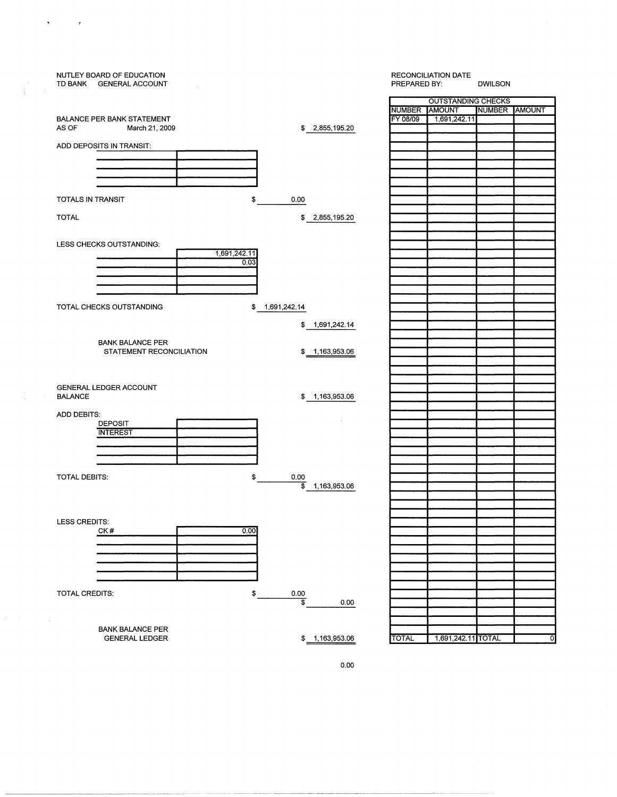|                   |                          | NUTLEY BOARD OF EDUCATION<br>TD BANK GENERAL ACCOUNT |              |                         |                              | <b>RECONCILIATION DATE</b><br>PREPARED BY: |                    | DWILSON       |   |
|-------------------|--------------------------|------------------------------------------------------|--------------|-------------------------|------------------------------|--------------------------------------------|--------------------|---------------|---|
|                   |                          |                                                      |              |                         |                              | <b>OUTSTANDING CHECKS</b>                  |                    |               |   |
|                   |                          |                                                      |              |                         |                              | NUMBER AMOUNT                              |                    | NUMBER AMOUNT |   |
|                   |                          | BALANCE PER BANK STATEMENT                           |              |                         |                              | FY 08/09                                   | 1,691,242.11       |               |   |
|                   | AS OF                    | March 21, 2009                                       |              |                         | \$ 2,855,195.20              |                                            |                    |               |   |
|                   | ADD DEPOSITS IN TRANSIT: |                                                      |              |                         |                              |                                            |                    |               |   |
|                   |                          |                                                      |              |                         |                              |                                            |                    |               |   |
|                   |                          |                                                      |              |                         |                              |                                            |                    |               |   |
|                   |                          |                                                      |              |                         |                              |                                            |                    |               |   |
|                   |                          |                                                      |              |                         |                              |                                            |                    |               |   |
|                   | TOTALS IN TRANSIT        |                                                      | \$           | 0.00                    |                              |                                            |                    |               |   |
|                   |                          |                                                      |              |                         |                              |                                            |                    |               |   |
|                   | <b>TOTAL</b>             |                                                      |              |                         | \$ 2,855,195.20              |                                            |                    |               |   |
|                   |                          |                                                      |              |                         |                              |                                            |                    |               |   |
|                   |                          | LESS CHECKS OUTSTANDING:                             |              |                         |                              |                                            |                    |               |   |
|                   |                          |                                                      | 1,691,242.11 |                         |                              |                                            |                    |               |   |
|                   |                          |                                                      | 0.03         |                         |                              |                                            |                    |               |   |
|                   |                          |                                                      |              |                         |                              |                                            |                    |               |   |
|                   |                          |                                                      |              |                         |                              |                                            |                    |               |   |
|                   |                          |                                                      |              |                         |                              |                                            |                    |               |   |
|                   |                          | TOTAL CHECKS OUTSTANDING                             | \$           | 1,691,242.14            |                              |                                            |                    |               |   |
|                   |                          |                                                      |              |                         |                              |                                            |                    |               |   |
|                   |                          |                                                      |              |                         | \$ 1,691,242.14              |                                            |                    |               |   |
|                   |                          |                                                      |              |                         |                              |                                            |                    |               |   |
|                   |                          | <b>BANK BALANCE PER</b>                              |              |                         |                              |                                            |                    |               |   |
|                   |                          | STATEMENT RECONCILIATION                             |              | \$ 1,163,953.06         |                              |                                            |                    |               |   |
|                   |                          |                                                      |              |                         |                              |                                            |                    |               |   |
|                   |                          |                                                      |              |                         |                              |                                            |                    |               |   |
|                   | GENERAL LEDGER ACCOUNT   |                                                      |              |                         |                              |                                            |                    |               |   |
|                   | <b>BALANCE</b>           |                                                      |              |                         | \$1,163,953.06               |                                            |                    |               |   |
|                   | ADD DEBITS:              |                                                      |              |                         |                              |                                            |                    |               |   |
|                   |                          | <b>DEPOSIT</b>                                       |              |                         |                              |                                            |                    |               |   |
|                   |                          | <b>INTEREST</b>                                      |              |                         |                              |                                            |                    |               |   |
|                   |                          |                                                      |              |                         |                              |                                            |                    |               |   |
|                   |                          |                                                      |              |                         |                              |                                            |                    |               |   |
|                   |                          |                                                      |              |                         |                              |                                            |                    |               |   |
|                   | TOTAL DEBITS:            |                                                      | \$           | 0.00                    |                              |                                            |                    |               |   |
|                   |                          |                                                      |              |                         | $\overline{\$}$ 1,163,953.06 |                                            |                    |               |   |
|                   |                          |                                                      |              |                         |                              |                                            |                    |               |   |
|                   |                          |                                                      |              |                         |                              |                                            |                    |               |   |
|                   | LESS CREDITS:<br>CK#     |                                                      |              |                         |                              |                                            |                    |               |   |
|                   |                          |                                                      | 0.00         |                         |                              |                                            |                    |               |   |
|                   |                          |                                                      |              |                         |                              |                                            |                    |               |   |
|                   |                          |                                                      |              |                         |                              |                                            |                    |               |   |
|                   |                          |                                                      |              |                         |                              |                                            |                    |               |   |
|                   |                          |                                                      |              |                         |                              |                                            |                    |               |   |
|                   |                          |                                                      |              |                         |                              |                                            |                    |               |   |
|                   | TOTAL CREDITS:           |                                                      | \$           | 0.00                    |                              |                                            |                    |               |   |
|                   |                          |                                                      |              | $\overline{\mathbf{s}}$ | 0.00                         |                                            |                    |               |   |
| $\sim$            |                          |                                                      |              |                         |                              |                                            |                    |               |   |
| <b>Contractor</b> |                          | <b>BANK BALANCE PER</b>                              |              |                         |                              |                                            |                    |               |   |
|                   |                          | <b>GENERAL LEDGER</b>                                |              |                         | \$1,163,953.06               | <b>TOTAL</b>                               | 1,691,242.11 TOTAL |               | ᅁ |
|                   |                          |                                                      |              |                         |                              |                                            |                    |               |   |
|                   |                          |                                                      |              |                         |                              |                                            |                    |               |   |

 $\sqrt{\frac{1}{2} \left( \frac{1}{2} \right)^2} \left( \frac{1}{2} \right)^2$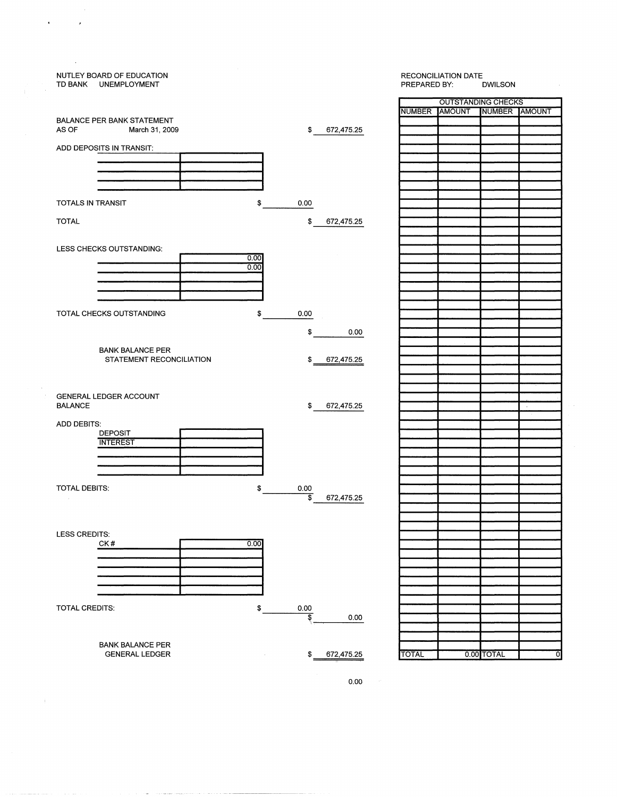

 $\overline{ }$ 

 $\frac{1}{2}$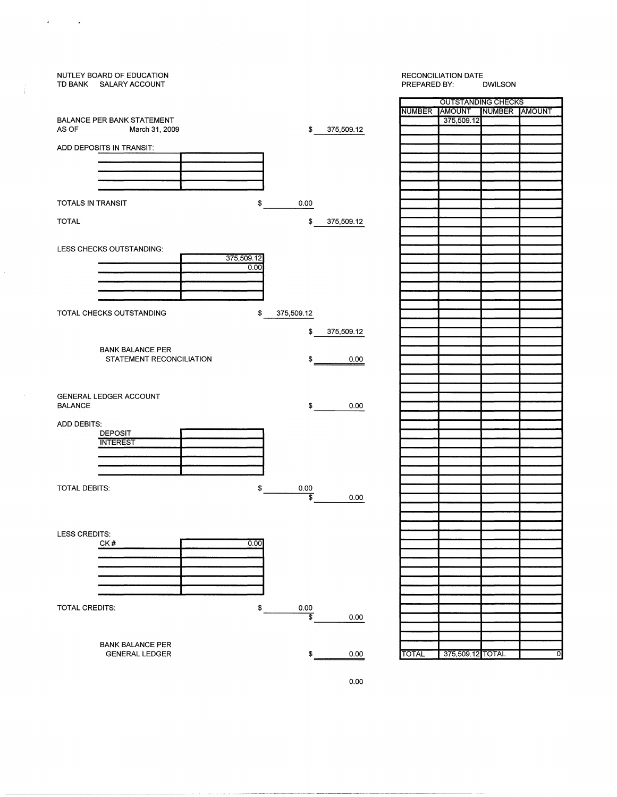| NUTLEY BOARD OF EDUCATION<br>TD BANK SALARY ACCOUNT | <b>RECONCILIATION DATE</b><br>PREPARED BY:<br><b>DWILSON</b> |            |              |                           |               |                |
|-----------------------------------------------------|--------------------------------------------------------------|------------|--------------|---------------------------|---------------|----------------|
|                                                     |                                                              |            |              | <b>OUTSTANDING CHECKS</b> |               |                |
|                                                     |                                                              |            |              | NUMBER AMOUNT             | NUMBER AMOUNT |                |
| <b>BALANCE PER BANK STATEMENT</b>                   |                                                              |            |              |                           |               |                |
|                                                     |                                                              |            |              | 375,509.12                |               |                |
| AS OF<br>March 31, 2009                             | \$                                                           | 375,509.12 |              |                           |               |                |
|                                                     |                                                              |            |              |                           |               |                |
| ADD DEPOSITS IN TRANSIT:                            |                                                              |            |              |                           |               |                |
|                                                     |                                                              |            |              |                           |               |                |
|                                                     |                                                              |            |              |                           |               |                |
|                                                     |                                                              |            |              |                           |               |                |
|                                                     |                                                              |            |              |                           |               |                |
|                                                     |                                                              |            |              |                           |               |                |
| TOTALS IN TRANSIT<br>\$                             | 0.00                                                         |            |              |                           |               |                |
|                                                     |                                                              |            |              |                           |               |                |
|                                                     |                                                              |            |              |                           |               |                |
| <b>TOTAL</b>                                        | \$                                                           | 375,509.12 |              |                           |               |                |
|                                                     |                                                              |            |              |                           |               |                |
|                                                     |                                                              |            |              |                           |               |                |
| LESS CHECKS OUTSTANDING:                            |                                                              |            |              |                           |               |                |
| 375,509.12                                          |                                                              |            |              |                           |               |                |
| 0.00                                                |                                                              |            |              |                           |               |                |
|                                                     |                                                              |            |              |                           |               |                |
|                                                     |                                                              |            |              |                           |               |                |
|                                                     |                                                              |            |              |                           |               |                |
|                                                     |                                                              |            |              |                           |               |                |
|                                                     |                                                              |            |              |                           |               |                |
| TOTAL CHECKS OUTSTANDING<br>\$                      | 375,509.12                                                   |            |              |                           |               |                |
|                                                     |                                                              |            |              |                           |               |                |
|                                                     | \$                                                           | 375,509.12 |              |                           |               |                |
|                                                     |                                                              |            |              |                           |               |                |
| <b>BANK BALANCE PER</b>                             |                                                              |            |              |                           |               |                |
| STATEMENT RECONCILIATION                            |                                                              |            |              |                           |               |                |
|                                                     | $\mathfrak{s}_-$                                             | 0.00       |              |                           |               |                |
|                                                     |                                                              |            |              |                           |               |                |
|                                                     |                                                              |            |              |                           |               |                |
|                                                     |                                                              |            |              |                           |               |                |
| GENERAL LEDGER ACCOUNT                              |                                                              |            |              |                           |               |                |
| <b>BALANCE</b>                                      | \$                                                           | 0.00       |              |                           |               |                |
|                                                     |                                                              |            |              |                           |               |                |
| ADD DEBITS:                                         |                                                              |            |              |                           |               |                |
|                                                     |                                                              |            |              |                           |               |                |
| <b>DEPOSIT</b>                                      |                                                              |            |              |                           |               |                |
| <b>INTEREST</b>                                     |                                                              |            |              |                           |               |                |
|                                                     |                                                              |            |              |                           |               |                |
|                                                     |                                                              |            |              |                           |               |                |
|                                                     |                                                              |            |              |                           |               |                |
|                                                     |                                                              |            |              |                           |               |                |
| TOTAL DEBITS:<br>\$                                 | 0.00                                                         |            |              |                           |               |                |
|                                                     | \$                                                           | 0.00       |              |                           |               |                |
|                                                     |                                                              |            |              |                           |               |                |
|                                                     |                                                              |            |              |                           |               |                |
|                                                     |                                                              |            |              |                           |               |                |
|                                                     |                                                              |            |              |                           |               |                |
| LESS CREDITS:                                       |                                                              |            |              |                           |               |                |
| ${\sf CK}\,\#$<br>0.00                              |                                                              |            |              |                           |               |                |
|                                                     |                                                              |            |              |                           |               |                |
|                                                     |                                                              |            |              |                           |               |                |
|                                                     |                                                              |            |              |                           |               |                |
|                                                     |                                                              |            |              |                           |               |                |
|                                                     |                                                              |            |              |                           |               |                |
|                                                     |                                                              |            |              |                           |               |                |
|                                                     |                                                              |            |              |                           |               |                |
| TOTAL CREDITS:<br>\$                                | $0.00\,$                                                     |            |              |                           |               |                |
|                                                     | 3                                                            | 0.00       |              |                           |               |                |
|                                                     |                                                              |            |              |                           |               |                |
|                                                     |                                                              |            |              |                           |               |                |
| <b>BANK BALANCE PER</b>                             |                                                              |            |              |                           |               |                |
| <b>GENERAL LEDGER</b>                               | \$                                                           | 0.00       | <b>TOTAL</b> | 375,509.12                | TOTAL         | $\overline{0}$ |
|                                                     |                                                              |            |              |                           |               |                |
|                                                     |                                                              |            |              |                           |               |                |

 $\bar{\bar{J}}$ 

 $\langle$ 

 $\ddot{\phantom{0}}$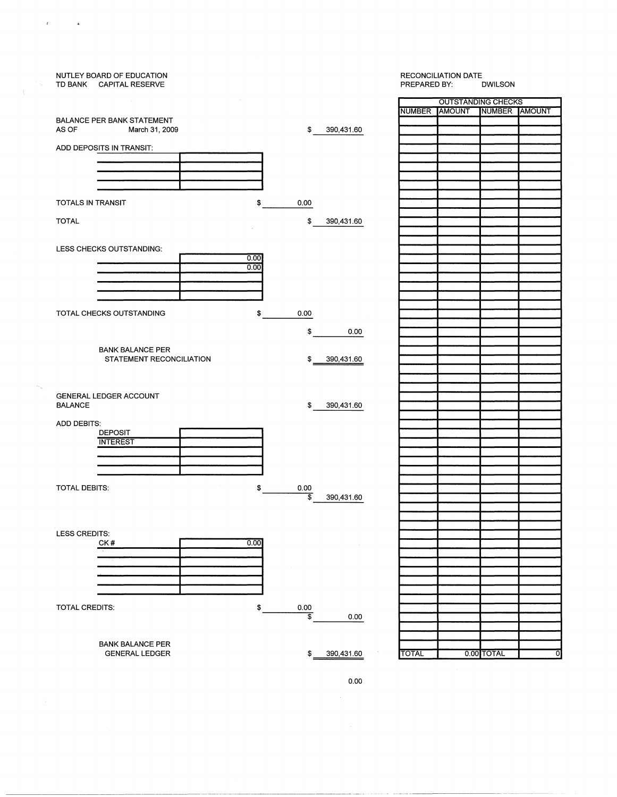

## RECONCILIATION DATE<br>PREPARED BY: DWILSON

--------- -----------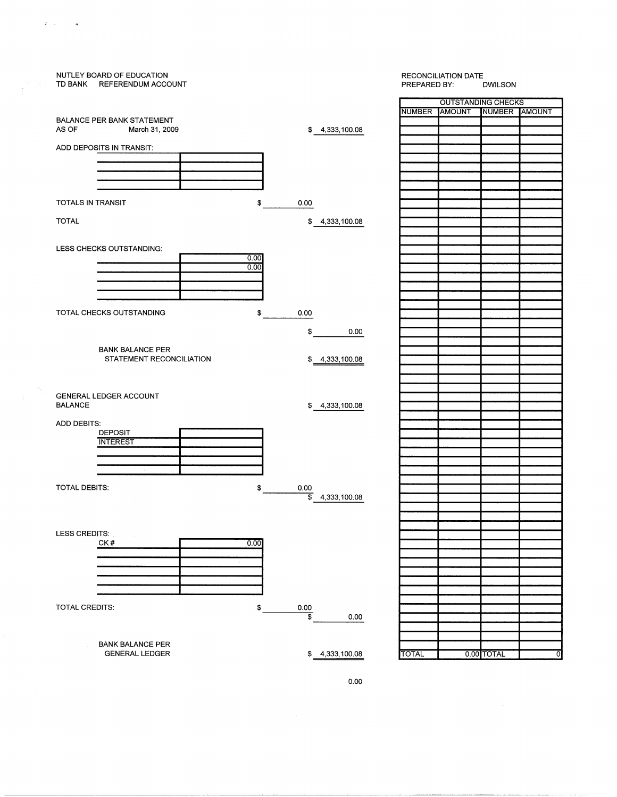

 $\mathbf{J} = \mathbf{J} \times \mathbf{J} = \mathbf{J} \times \mathbf{A}$  .